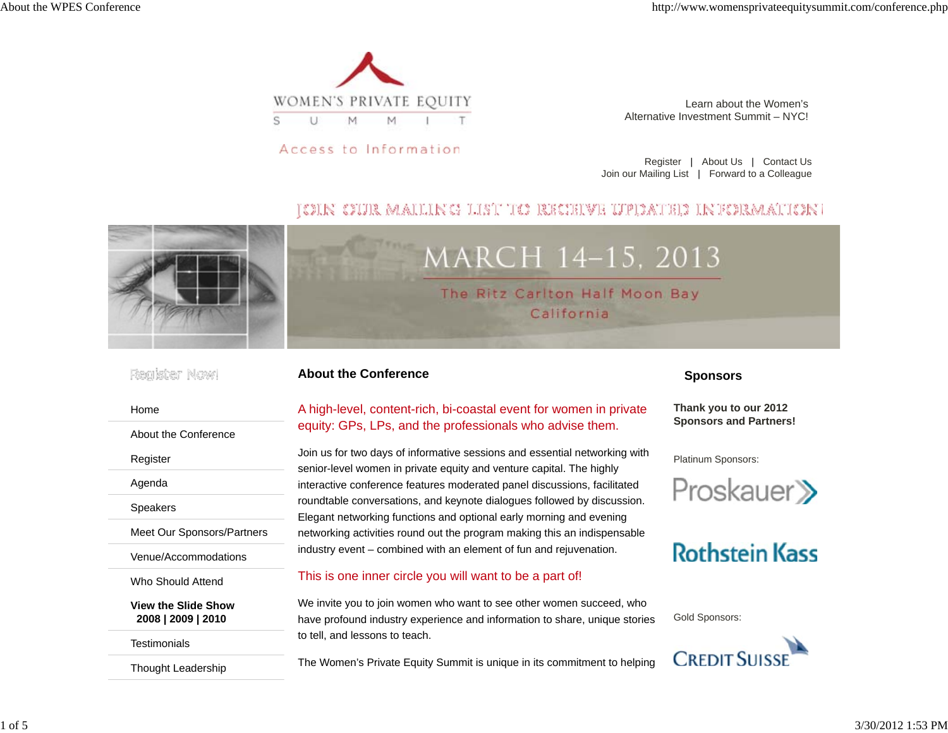

Access to Information

Learn about the Women'sAlternative Investment Summit – NYC!

Register | About Us | Contact Us Join our Mailing List | Forward to a Colleague

### JOIN OUR MAILING LIST TO RECEIVE UPDATED INFORMATION)



#### Register Nowl

About the Conference

Meet Our Sponsors/Partners

Venue/Accommodations

Who Should Attend

**Testimonials** 

**View the Slide Show2008 | 2009 | 2010**

Thought Leadership

Home

Register

Agenda

Speakers

**About the Conference**

#### A high-level, content-rich, bi-coastal event for women in private equity: GPs, LPs, and the professionals who advise them.

Join us for two days of informative sessions and essential networking with senior-level women in private equity and venture capital. The highly interactive conference features moderated panel discussions, facilitated roundtable conversations, and keynote dialogues followed by discussion. Elegant networking functions and optional early morning and evening networking activities round out the program making this an indispensable industry event – combined with an element of fun and rejuvenation.

#### This is one inner circle you will want to be a part of!

We invite you to join women who want to see other women succeed, who have profound industry experience and information to share, unique stories to tell, and lessons to teach.

The Women's Private Equity Summit is unique in its commitment to helping

#### **Sponsors**

**Thank you to our 2012 Sponsors and Partners!**

Platinum Sponsors:



## **Rothstein Kass**

Gold Sponsors:

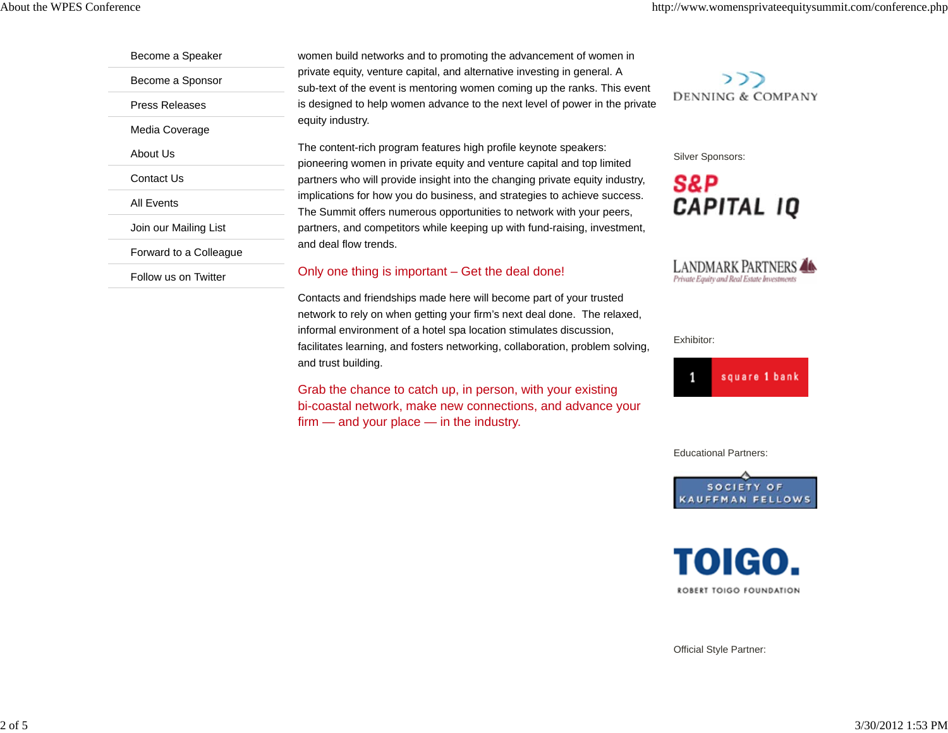Become a Speaker Become a Sponsor Press ReleasesMedia Coverage About UsContact UsAll EventsJoin our Mailing List Forward to a Colleague

Follow us on Twitter

women build networks and to promoting the advancement of women in private equity, venture capital, and alternative investing in general. A sub-text of the event is mentoring women coming up the ranks. This event is designed to help women advance to the next level of power in the private equity industry.

The content-rich program features high profile keynote speakers: pioneering women in private equity and venture capital and top limited partners who will provide insight into the changing private equity industry, implications for how you do business, and strategies to achieve success. The Summit offers numerous opportunities to network with your peers, partners, and competitors while keeping up with fund-raising, investment, and deal flow trends.

#### Only one thing is important – Get the deal done!

Contacts and friendships made here will become part of your trusted network to rely on when getting your firm's next deal done. The relaxed, informal environment of a hotel spa location stimulates discussion, facilitates learning, and fosters networking, collaboration, problem solving, and trust building.

Grab the chance to catch up, in person, with your existing bi-coastal network, make new connections, and advance your firm — and your place — in the industry.



Silver Sponsors:





Exhibitor:



Educational Partners:





Official Style Partner: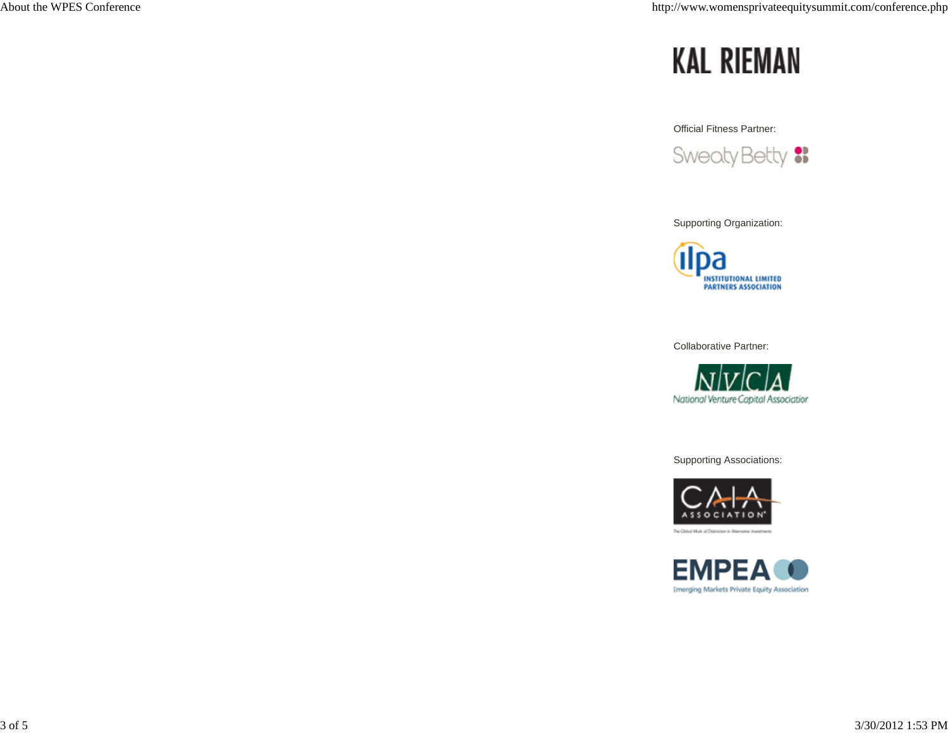# **KAL RIEMAN**

Official Fitness Partner:

Sweaty Betty :

Supporting Organization:



Collaborative Partner:



Supporting Associations:



The Global Mark of Distinction in Albert



3 of 5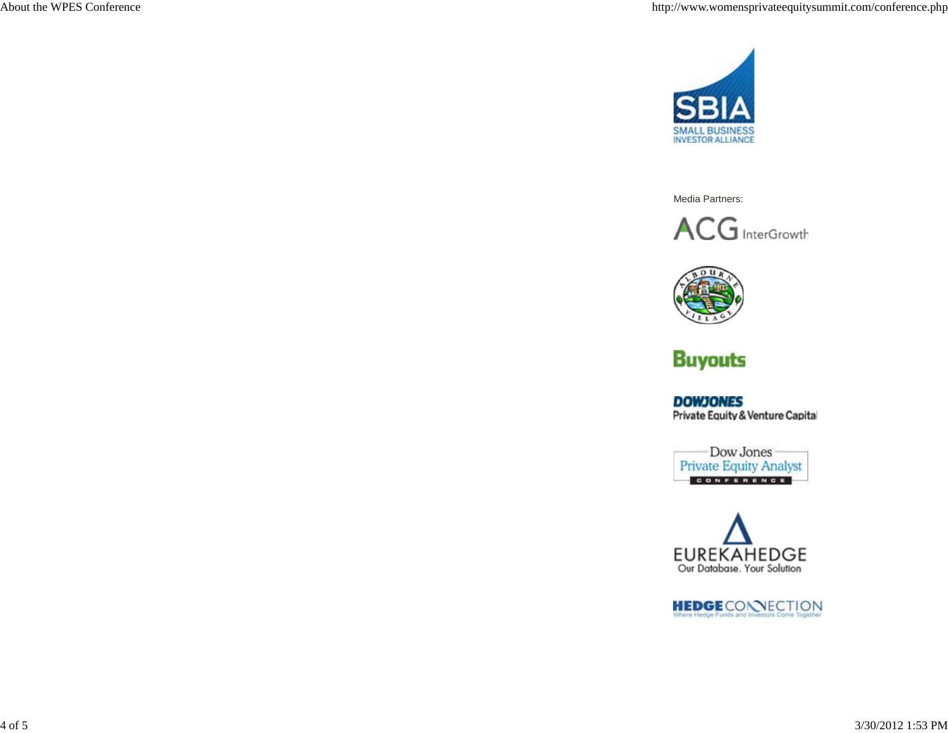

Media Partners:





## **Buyouts**

**DOWJONES** Private Equity & Venture Capital





HEDGECONNECTION